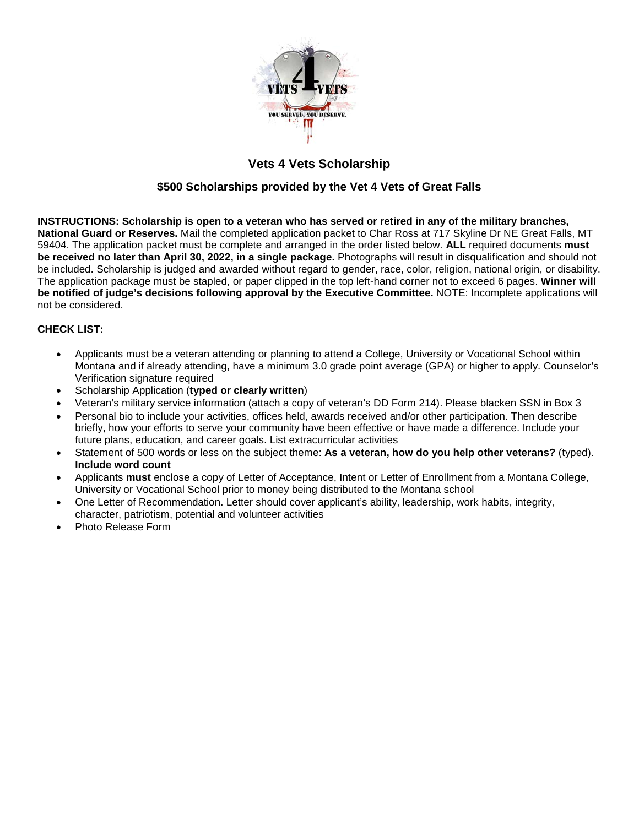

# **Vets 4 Vets Scholarship**

## **\$500 Scholarships provided by the Vet 4 Vets of Great Falls**

**INSTRUCTIONS: Scholarship is open to a veteran who has served or retired in any of the military branches, National Guard or Reserves.** Mail the completed application packet to Char Ross at 717 Skyline Dr NE Great Falls, MT 59404. The application packet must be complete and arranged in the order listed below. **ALL** required documents **must be received no later than April 30, 2022, in a single package.** Photographs will result in disqualification and should not be included. Scholarship is judged and awarded without regard to gender, race, color, religion, national origin, or disability. The application package must be stapled, or paper clipped in the top left-hand corner not to exceed 6 pages. **Winner will be notified of judge's decisions following approval by the Executive Committee.** NOTE: Incomplete applications will not be considered.

#### **CHECK LIST:**

- Applicants must be a veteran attending or planning to attend a College, University or Vocational School within Montana and if already attending, have a minimum 3.0 grade point average (GPA) or higher to apply. Counselor's Verification signature required
- Scholarship Application (**typed or clearly written**)
- Veteran's military service information (attach a copy of veteran's DD Form 214). Please blacken SSN in Box 3
- Personal bio to include your activities, offices held, awards received and/or other participation. Then describe briefly, how your efforts to serve your community have been effective or have made a difference. Include your future plans, education, and career goals. List extracurricular activities
- Statement of 500 words or less on the subject theme: **As a veteran, how do you help other veterans?** (typed). **Include word count**
- Applicants **must** enclose a copy of Letter of Acceptance, Intent or Letter of Enrollment from a Montana College, University or Vocational School prior to money being distributed to the Montana school
- One Letter of Recommendation. Letter should cover applicant's ability, leadership, work habits, integrity, character, patriotism, potential and volunteer activities
- Photo Release Form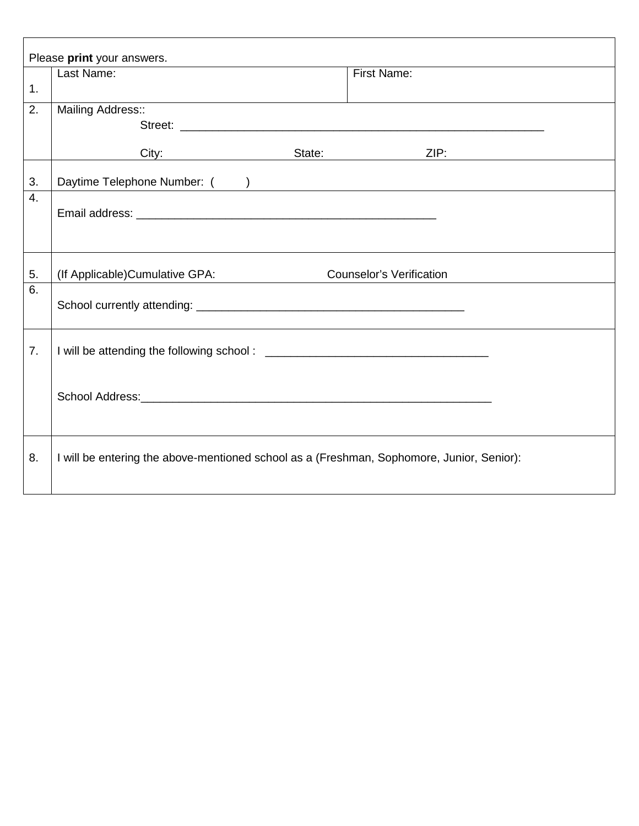| Please print your answers. |                                                                                           |  |                                 |  |  |  |
|----------------------------|-------------------------------------------------------------------------------------------|--|---------------------------------|--|--|--|
|                            | Last Name:                                                                                |  | First Name:                     |  |  |  |
| 1.                         |                                                                                           |  |                                 |  |  |  |
| 2.                         | Mailing Address::                                                                         |  |                                 |  |  |  |
|                            |                                                                                           |  | Street:                         |  |  |  |
|                            | City: State:                                                                              |  | ZIP:                            |  |  |  |
| 3.                         | Daytime Telephone Number: ( )                                                             |  |                                 |  |  |  |
| 4.                         |                                                                                           |  |                                 |  |  |  |
|                            |                                                                                           |  |                                 |  |  |  |
| 5.                         | (If Applicable) Cumulative GPA:                                                           |  | <b>Counselor's Verification</b> |  |  |  |
| 6.                         |                                                                                           |  |                                 |  |  |  |
| 7.                         |                                                                                           |  |                                 |  |  |  |
|                            |                                                                                           |  |                                 |  |  |  |
| 8.                         | I will be entering the above-mentioned school as a (Freshman, Sophomore, Junior, Senior): |  |                                 |  |  |  |
|                            |                                                                                           |  |                                 |  |  |  |